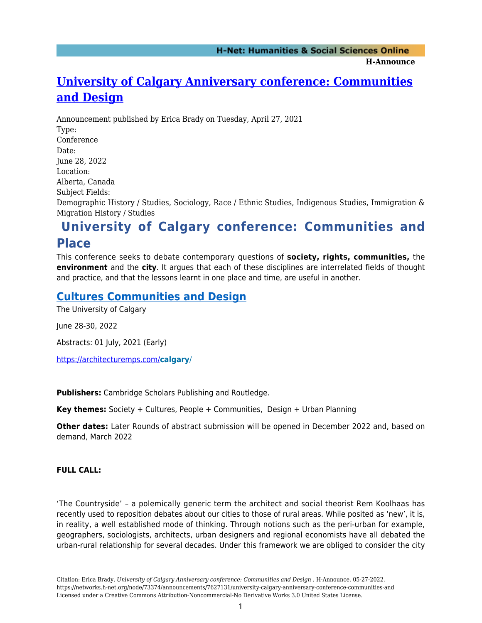**H-Announce** 

# **[University of Calgary Anniversary conference: Communities](https://networks.h-net.org/node/73374/announcements/7627131/university-calgary-anniversary-conference-communities-and) [and Design](https://networks.h-net.org/node/73374/announcements/7627131/university-calgary-anniversary-conference-communities-and)**

Announcement published by Erica Brady on Tuesday, April 27, 2021 Type: Conference Date: June 28, 2022 Location: Alberta, Canada Subject Fields: Demographic History / Studies, Sociology, Race / Ethnic Studies, Indigenous Studies, Immigration & Migration History / Studies

## **University of Calgary conference: Communities and Place**

This conference seeks to debate contemporary questions of **society, rights, communities,** the **environment** and the **city**. It argues that each of these disciplines are interrelated fields of thought and practice, and that the lessons learnt in one place and time, are useful in another.

### **[Cultures Communities and Design](https://architecturemps.com/calgary/)**

The University of Calgary

June 28-30, 2022

Abstracts: 01 July, 2021 (Early)

<https://architecturemps.com/>**calgary**/

**Publishers:** Cambridge Scholars Publishing and Routledge.

**Key themes:** Society + Cultures, People + Communities, Design + Urban Planning

**Other dates:** Later Rounds of abstract submission will be opened in December 2022 and, based on demand, March 2022

#### **FULL CALL:**

'The Countryside' – a polemically generic term the architect and social theorist Rem Koolhaas has recently used to reposition debates about our cities to those of rural areas. While posited as 'new', it is, in reality, a well established mode of thinking. Through notions such as the peri-urban for example, geographers, sociologists, architects, urban designers and regional economists have all debated the urban-rural relationship for several decades. Under this framework we are obliged to consider the city